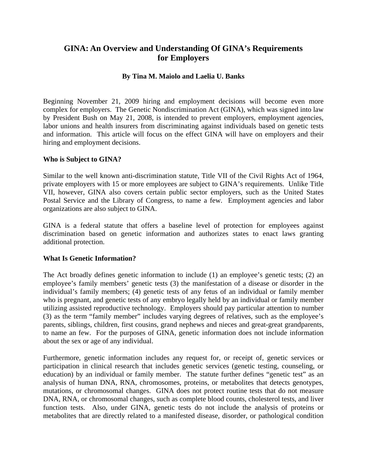# **GINA: An Overview and Understanding Of GINA's Requirements for Employers**

## **By Tina M. Maiolo and Laelia U. Banks**

Beginning November 21, 2009 hiring and employment decisions will become even more complex for employers. The Genetic Nondiscrimination Act (GINA), which was signed into law by President Bush on May 21, 2008, is intended to prevent employers, employment agencies, labor unions and health insurers from discriminating against individuals based on genetic tests and information. This article will focus on the effect GINA will have on employers and their hiring and employment decisions.

## **Who is Subject to GINA?**

Similar to the well known anti-discrimination statute, Title VII of the Civil Rights Act of 1964, private employers with 15 or more employees are subject to GINA's requirements. Unlike Title VII, however, GINA also covers certain public sector employers, such as the United States Postal Service and the Library of Congress, to name a few. Employment agencies and labor organizations are also subject to GINA.

GINA is a federal statute that offers a baseline level of protection for employees against discrimination based on genetic information and authorizes states to enact laws granting additional protection.

# **What Is Genetic Information?**

The Act broadly defines genetic information to include (1) an employee's genetic tests; (2) an employee's family members' genetic tests (3) the manifestation of a disease or disorder in the individual's family members; (4) genetic tests of any fetus of an individual or family member who is pregnant, and genetic tests of any embryo legally held by an individual or family member utilizing assisted reproductive technology. Employers should pay particular attention to number (3) as the term "family member" includes varying degrees of relatives, such as the employee's parents, siblings, children, first cousins, grand nephews and nieces and great-great grandparents, to name an few. For the purposes of GINA, genetic information does not include information about the sex or age of any individual.

Furthermore, genetic information includes any request for, or receipt of, genetic services or participation in clinical research that includes genetic services (genetic testing, counseling, or education) by an individual or family member. The statute further defines "genetic test" as an analysis of human DNA, RNA, chromosomes, proteins, or metabolites that detects genotypes, mutations, or chromosomal changes. GINA does not protect routine tests that do not measure DNA, RNA, or chromosomal changes, such as complete blood counts, cholesterol tests, and liver function tests. Also, under GINA, genetic tests do not include the analysis of proteins or metabolites that are directly related to a manifested disease, disorder, or pathological condition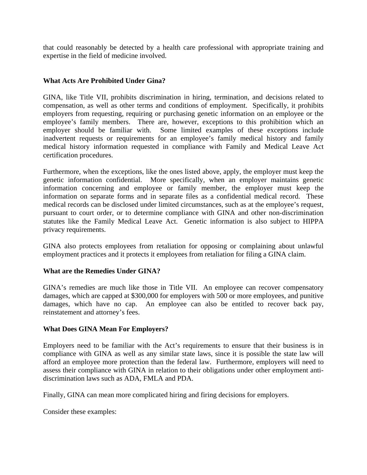that could reasonably be detected by a health care professional with appropriate training and expertise in the field of medicine involved.

## **What Acts Are Prohibited Under Gina?**

GINA, like Title VII, prohibits discrimination in hiring, termination, and decisions related to compensation, as well as other terms and conditions of employment. Specifically, it prohibits employers from requesting, requiring or purchasing genetic information on an employee or the employee's family members. There are, however, exceptions to this prohibition which an employer should be familiar with. Some limited examples of these exceptions include inadvertent requests or requirements for an employee's family medical history and family medical history information requested in compliance with Family and Medical Leave Act certification procedures.

Furthermore, when the exceptions, like the ones listed above, apply, the employer must keep the genetic information confidential. More specifically, when an employer maintains genetic information concerning and employee or family member, the employer must keep the information on separate forms and in separate files as a confidential medical record. These medical records can be disclosed under limited circumstances, such as at the employee's request, pursuant to court order, or to determine compliance with GINA and other non-discrimination statutes like the Family Medical Leave Act. Genetic information is also subject to HIPPA privacy requirements.

GINA also protects employees from retaliation for opposing or complaining about unlawful employment practices and it protects it employees from retaliation for filing a GINA claim.

## **What are the Remedies Under GINA?**

GINA's remedies are much like those in Title VII. An employee can recover compensatory damages, which are capped at \$300,000 for employers with 500 or more employees, and punitive damages, which have no cap. An employee can also be entitled to recover back pay, reinstatement and attorney's fees.

## **What Does GINA Mean For Employers?**

Employers need to be familiar with the Act's requirements to ensure that their business is in compliance with GINA as well as any similar state laws, since it is possible the state law will afford an employee more protection than the federal law. Furthermore, employers will need to assess their compliance with GINA in relation to their obligations under other employment antidiscrimination laws such as ADA, FMLA and PDA.

Finally, GINA can mean more complicated hiring and firing decisions for employers.

Consider these examples: